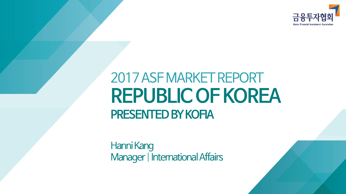

# 2017 ASF MARKET REPORT **REPUBLIC OF KOREA PRESENTED BY KOFIA**

Hanni Kang Manager | International Affairs

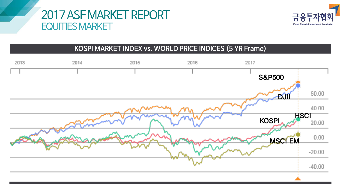## 2017 ASF MARKET REPORT **EQUITIES MARKET**



#### KOSPI MARKET INDEX vs. WORLD PRICE INDICES (5 YR Frame)

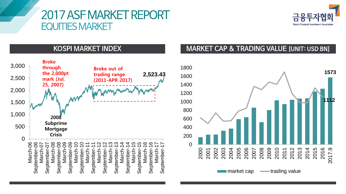## 2017 ASF MARKET REPORT **EQUITIES MARKET**



### **KOSPI MARKET INDEX**



#### **MARKET CAP & TRADING VALUE [UNIT: USD BN]**

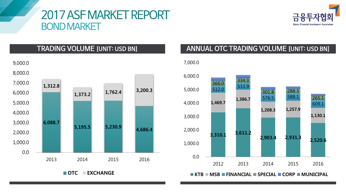## 2017 ASF MARKET REPORT **BOND MARKET**



**TRADING VOLUME [UNIT: USD BN]** 



#### ANNUAL OTC TRADING VOLUME [UNIT: USD BN]

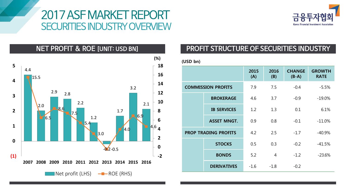## 2017 ASF MARKET REPORT **SECURITIES INDUSTRY OVERVIEW**



**NET PROFIT & ROE [UNIT: USD BN]** 



#### PROFIT STRUCTURE OF SECURITIES INDUSTRY

| (USD bn)                    |                    |             |             |                          |                              |
|-----------------------------|--------------------|-------------|-------------|--------------------------|------------------------------|
|                             |                    | 2015<br>(A) | 2016<br>(B) | <b>CHANGE</b><br>$(B-A)$ | <b>GROWTH</b><br><b>RATE</b> |
| <b>COMMISSION PROFITS</b>   |                    | 7.9         | 7.5         | $-0.4$                   | $-5.5%$                      |
|                             | <b>BROKERAGE</b>   | 4.6         | 3.7         | $-0.9$                   | $-19.0%$                     |
|                             | <b>IB SERVICES</b> | 1.2         | 1.3         | 0.1                      | 6.1%                         |
|                             | <b>ASSET MNGT.</b> | 0.9         | 0.8         | $-0.1$                   | $-11.0%$                     |
| <b>PROP TRADING PROFITS</b> |                    | 4.2         | 2.5         | $-1.7$                   | $-40.9%$                     |
|                             | <b>STOCKS</b>      | 0.5         | 0.3         | $-0.2$                   | $-41.5%$                     |
|                             | <b>BONDS</b>       | 5.2         | 4           | $-1.2$                   | $-23.6%$                     |
|                             | <b>DERIVATIVES</b> | $-1.6$      | $-1.8$      | $-0.2$                   |                              |